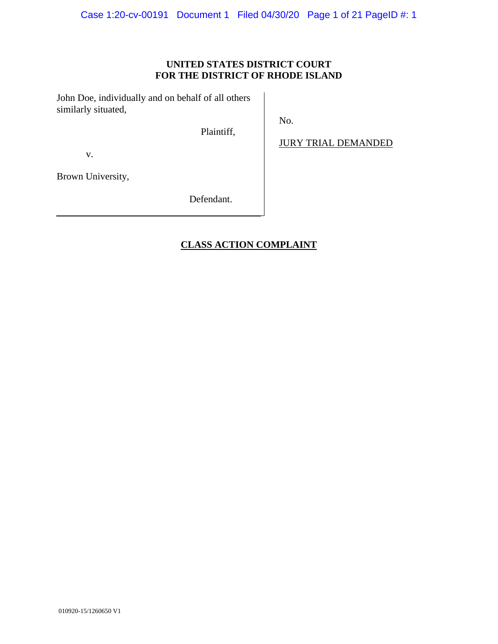## **UNITED STATES DISTRICT COURT FOR THE DISTRICT OF RHODE ISLAND**

No.

John Doe, individually and on behalf of all others similarly situated,

Plaintiff,

JURY TRIAL DEMANDED

v.

Brown University,

Defendant.

# **CLASS ACTION COMPLAINT**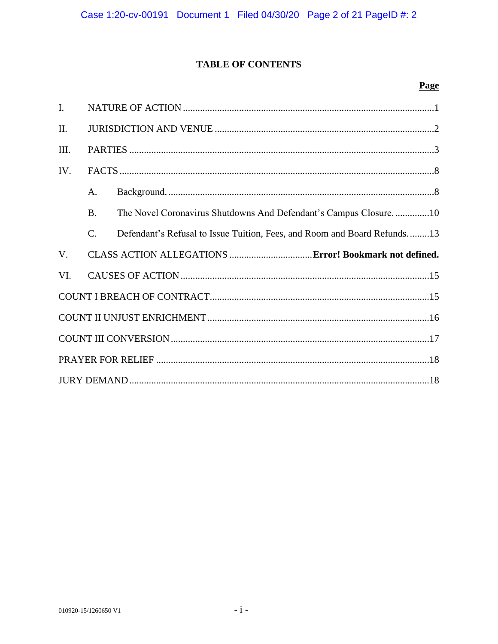# **TABLE OF CONTENTS**

# Page

| $\mathbf{I}$ . |                 |                                                                          |
|----------------|-----------------|--------------------------------------------------------------------------|
| Π.             |                 |                                                                          |
| III.           |                 |                                                                          |
| IV.            |                 |                                                                          |
|                | $\mathsf{A}$ .  |                                                                          |
|                | <b>B.</b>       | The Novel Coronavirus Shutdowns And Defendant's Campus Closure10         |
|                | $\mathcal{C}$ . | Defendant's Refusal to Issue Tuition, Fees, and Room and Board Refunds13 |
|                |                 |                                                                          |
| V.             |                 |                                                                          |
| VI.            |                 |                                                                          |
|                |                 |                                                                          |
|                |                 |                                                                          |
|                |                 |                                                                          |
|                |                 |                                                                          |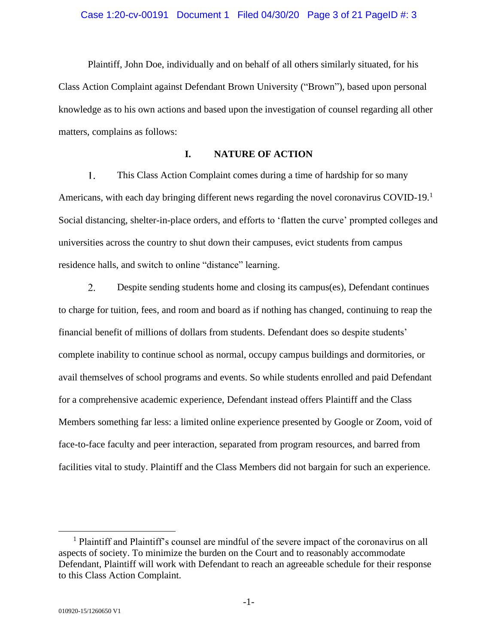#### Case 1:20-cv-00191 Document 1 Filed 04/30/20 Page 3 of 21 PageID #: 3

Plaintiff, John Doe, individually and on behalf of all others similarly situated, for his Class Action Complaint against Defendant Brown University ("Brown"), based upon personal knowledge as to his own actions and based upon the investigation of counsel regarding all other matters, complains as follows:

## **I. NATURE OF ACTION**

 $1.$ This Class Action Complaint comes during a time of hardship for so many Americans, with each day bringing different news regarding the novel coronavirus COVID-19.<sup>1</sup> Social distancing, shelter-in-place orders, and efforts to 'flatten the curve' prompted colleges and universities across the country to shut down their campuses, evict students from campus residence halls, and switch to online "distance" learning.

 $2.$ Despite sending students home and closing its campus(es), Defendant continues to charge for tuition, fees, and room and board as if nothing has changed, continuing to reap the financial benefit of millions of dollars from students. Defendant does so despite students' complete inability to continue school as normal, occupy campus buildings and dormitories, or avail themselves of school programs and events. So while students enrolled and paid Defendant for a comprehensive academic experience, Defendant instead offers Plaintiff and the Class Members something far less: a limited online experience presented by Google or Zoom, void of face-to-face faculty and peer interaction, separated from program resources, and barred from facilities vital to study. Plaintiff and the Class Members did not bargain for such an experience.

<sup>&</sup>lt;sup>1</sup> Plaintiff and Plaintiff's counsel are mindful of the severe impact of the coronavirus on all aspects of society. To minimize the burden on the Court and to reasonably accommodate Defendant, Plaintiff will work with Defendant to reach an agreeable schedule for their response to this Class Action Complaint.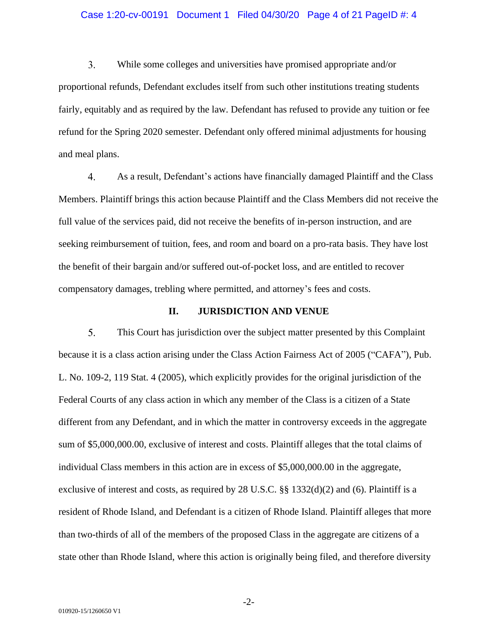#### Case 1:20-cv-00191 Document 1 Filed 04/30/20 Page 4 of 21 PageID #: 4

 $3.$ While some colleges and universities have promised appropriate and/or proportional refunds, Defendant excludes itself from such other institutions treating students fairly, equitably and as required by the law. Defendant has refused to provide any tuition or fee refund for the Spring 2020 semester. Defendant only offered minimal adjustments for housing and meal plans.

 $\overline{4}$ . As a result, Defendant's actions have financially damaged Plaintiff and the Class Members. Plaintiff brings this action because Plaintiff and the Class Members did not receive the full value of the services paid, did not receive the benefits of in-person instruction, and are seeking reimbursement of tuition, fees, and room and board on a pro-rata basis. They have lost the benefit of their bargain and/or suffered out-of-pocket loss, and are entitled to recover compensatory damages, trebling where permitted, and attorney's fees and costs.

#### **II. JURISDICTION AND VENUE**

 $5.$ This Court has jurisdiction over the subject matter presented by this Complaint because it is a class action arising under the Class Action Fairness Act of 2005 ("CAFA"), Pub. L. No. 109-2, 119 Stat. 4 (2005), which explicitly provides for the original jurisdiction of the Federal Courts of any class action in which any member of the Class is a citizen of a State different from any Defendant, and in which the matter in controversy exceeds in the aggregate sum of \$5,000,000.00, exclusive of interest and costs. Plaintiff alleges that the total claims of individual Class members in this action are in excess of \$5,000,000.00 in the aggregate, exclusive of interest and costs, as required by 28 U.S.C.  $\S$  1332(d)(2) and (6). Plaintiff is a resident of Rhode Island, and Defendant is a citizen of Rhode Island. Plaintiff alleges that more than two-thirds of all of the members of the proposed Class in the aggregate are citizens of a state other than Rhode Island, where this action is originally being filed, and therefore diversity

-2-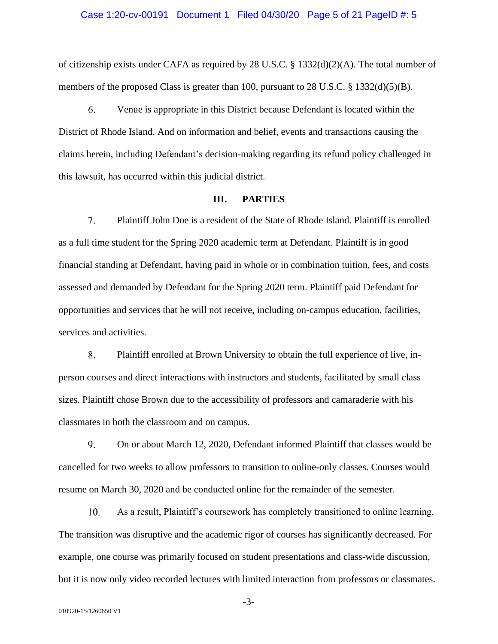#### Case 1:20-cv-00191 Document 1 Filed 04/30/20 Page 5 of 21 PageID #: 5

of citizenship exists under CAFA as required by 28 U.S.C. § 1332(d)(2)(A). The total number of members of the proposed Class is greater than 100, pursuant to  $28$  U.S.C. § 1332(d)(5)(B).

6. Venue is appropriate in this District because Defendant is located within the District of Rhode Island. And on information and belief, events and transactions causing the claims herein, including Defendant's decision-making regarding its refund policy challenged in this lawsuit, has occurred within this judicial district.

## **III. PARTIES**

 $7.$ Plaintiff John Doe is a resident of the State of Rhode Island. Plaintiff is enrolled as a full time student for the Spring 2020 academic term at Defendant. Plaintiff is in good financial standing at Defendant, having paid in whole or in combination tuition, fees, and costs assessed and demanded by Defendant for the Spring 2020 term. Plaintiff paid Defendant for opportunities and services that he will not receive, including on-campus education, facilities, services and activities.

 $8<sup>1</sup>$ Plaintiff enrolled at Brown University to obtain the full experience of live, inperson courses and direct interactions with instructors and students, facilitated by small class sizes. Plaintiff chose Brown due to the accessibility of professors and camaraderie with his classmates in both the classroom and on campus.

 $\mathbf{Q}$ On or about March 12, 2020, Defendant informed Plaintiff that classes would be cancelled for two weeks to allow professors to transition to online-only classes. Courses would resume on March 30, 2020 and be conducted online for the remainder of the semester.

10. As a result, Plaintiff's coursework has completely transitioned to online learning. The transition was disruptive and the academic rigor of courses has significantly decreased. For example, one course was primarily focused on student presentations and class-wide discussion, but it is now only video recorded lectures with limited interaction from professors or classmates.

-3-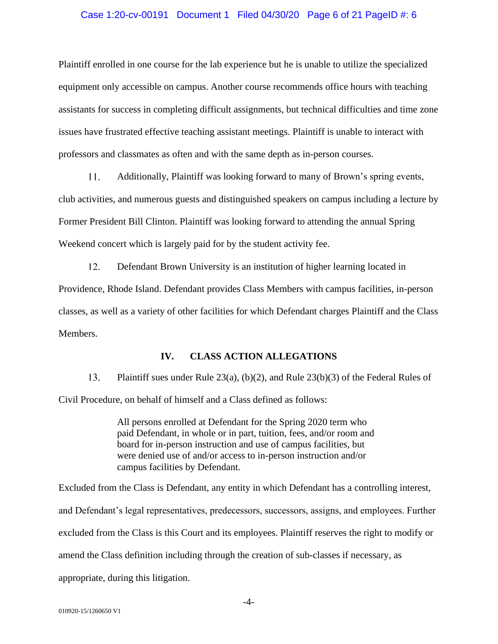#### Case 1:20-cv-00191 Document 1 Filed 04/30/20 Page 6 of 21 PageID #: 6

Plaintiff enrolled in one course for the lab experience but he is unable to utilize the specialized equipment only accessible on campus. Another course recommends office hours with teaching assistants for success in completing difficult assignments, but technical difficulties and time zone issues have frustrated effective teaching assistant meetings. Plaintiff is unable to interact with professors and classmates as often and with the same depth as in-person courses.

 $11.$ Additionally, Plaintiff was looking forward to many of Brown's spring events, club activities, and numerous guests and distinguished speakers on campus including a lecture by Former President Bill Clinton. Plaintiff was looking forward to attending the annual Spring Weekend concert which is largely paid for by the student activity fee.

 $12.$ Defendant Brown University is an institution of higher learning located in Providence, Rhode Island. Defendant provides Class Members with campus facilities, in-person classes, as well as a variety of other facilities for which Defendant charges Plaintiff and the Class Members.

## **IV. CLASS ACTION ALLEGATIONS**

13. Plaintiff sues under Rule 23(a), (b)(2), and Rule 23(b)(3) of the Federal Rules of Civil Procedure, on behalf of himself and a Class defined as follows:

> All persons enrolled at Defendant for the Spring 2020 term who paid Defendant, in whole or in part, tuition, fees, and/or room and board for in-person instruction and use of campus facilities, but were denied use of and/or access to in-person instruction and/or campus facilities by Defendant.

Excluded from the Class is Defendant, any entity in which Defendant has a controlling interest, and Defendant's legal representatives, predecessors, successors, assigns, and employees. Further excluded from the Class is this Court and its employees. Plaintiff reserves the right to modify or amend the Class definition including through the creation of sub-classes if necessary, as appropriate, during this litigation.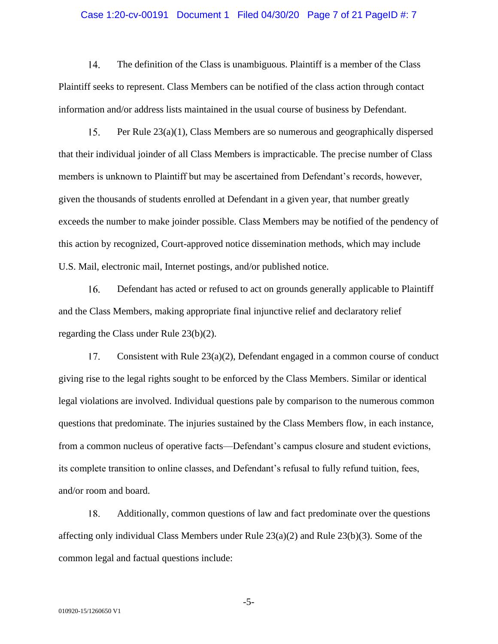#### Case 1:20-cv-00191 Document 1 Filed 04/30/20 Page 7 of 21 PageID #: 7

14. The definition of the Class is unambiguous. Plaintiff is a member of the Class Plaintiff seeks to represent. Class Members can be notified of the class action through contact information and/or address lists maintained in the usual course of business by Defendant.

15. Per Rule 23(a)(1), Class Members are so numerous and geographically dispersed that their individual joinder of all Class Members is impracticable. The precise number of Class members is unknown to Plaintiff but may be ascertained from Defendant's records, however, given the thousands of students enrolled at Defendant in a given year, that number greatly exceeds the number to make joinder possible. Class Members may be notified of the pendency of this action by recognized, Court-approved notice dissemination methods, which may include U.S. Mail, electronic mail, Internet postings, and/or published notice.

16. Defendant has acted or refused to act on grounds generally applicable to Plaintiff and the Class Members, making appropriate final injunctive relief and declaratory relief regarding the Class under Rule 23(b)(2).

 $17.$ Consistent with Rule  $23(a)(2)$ , Defendant engaged in a common course of conduct giving rise to the legal rights sought to be enforced by the Class Members. Similar or identical legal violations are involved. Individual questions pale by comparison to the numerous common questions that predominate. The injuries sustained by the Class Members flow, in each instance, from a common nucleus of operative facts—Defendant's campus closure and student evictions, its complete transition to online classes, and Defendant's refusal to fully refund tuition, fees, and/or room and board.

18. Additionally, common questions of law and fact predominate over the questions affecting only individual Class Members under Rule 23(a)(2) and Rule 23(b)(3). Some of the common legal and factual questions include:

-5-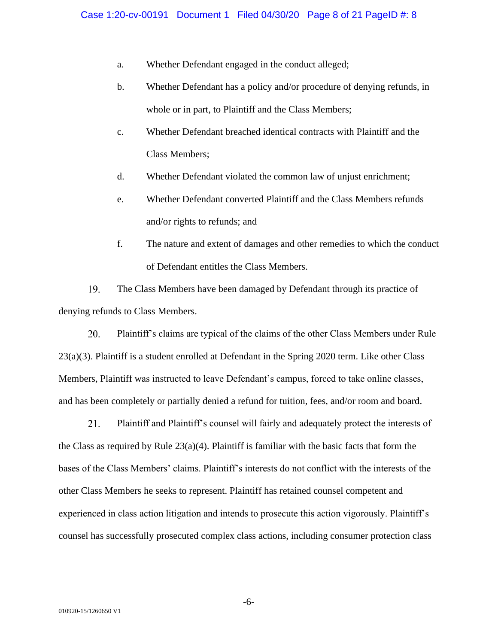- a. Whether Defendant engaged in the conduct alleged;
- b. Whether Defendant has a policy and/or procedure of denying refunds, in whole or in part, to Plaintiff and the Class Members;
- c. Whether Defendant breached identical contracts with Plaintiff and the Class Members;
- d. Whether Defendant violated the common law of unjust enrichment;
- e. Whether Defendant converted Plaintiff and the Class Members refunds and/or rights to refunds; and
- f. The nature and extent of damages and other remedies to which the conduct of Defendant entitles the Class Members.

19. The Class Members have been damaged by Defendant through its practice of denying refunds to Class Members.

20. Plaintiff's claims are typical of the claims of the other Class Members under Rule 23(a)(3). Plaintiff is a student enrolled at Defendant in the Spring 2020 term. Like other Class Members, Plaintiff was instructed to leave Defendant's campus, forced to take online classes, and has been completely or partially denied a refund for tuition, fees, and/or room and board.

21. Plaintiff and Plaintiff's counsel will fairly and adequately protect the interests of the Class as required by Rule  $23(a)(4)$ . Plaintiff is familiar with the basic facts that form the bases of the Class Members' claims. Plaintiff's interests do not conflict with the interests of the other Class Members he seeks to represent. Plaintiff has retained counsel competent and experienced in class action litigation and intends to prosecute this action vigorously. Plaintiff's counsel has successfully prosecuted complex class actions, including consumer protection class

-6-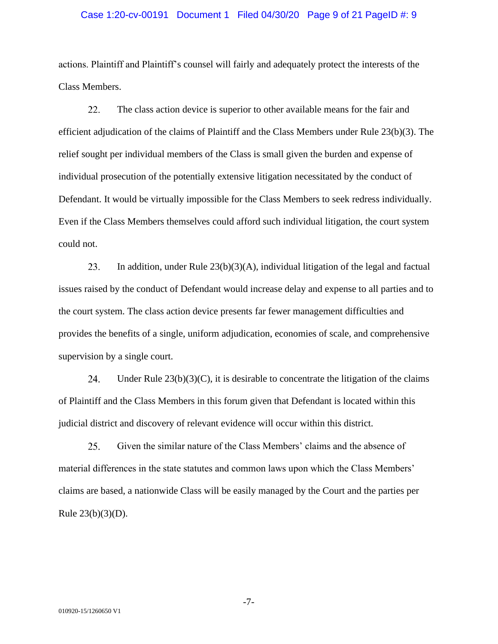#### Case 1:20-cv-00191 Document 1 Filed 04/30/20 Page 9 of 21 PageID #: 9

actions. Plaintiff and Plaintiff's counsel will fairly and adequately protect the interests of the Class Members.

22. The class action device is superior to other available means for the fair and efficient adjudication of the claims of Plaintiff and the Class Members under Rule 23(b)(3). The relief sought per individual members of the Class is small given the burden and expense of individual prosecution of the potentially extensive litigation necessitated by the conduct of Defendant. It would be virtually impossible for the Class Members to seek redress individually. Even if the Class Members themselves could afford such individual litigation, the court system could not.

23. In addition, under Rule  $23(b)(3)(A)$ , individual litigation of the legal and factual issues raised by the conduct of Defendant would increase delay and expense to all parties and to the court system. The class action device presents far fewer management difficulties and provides the benefits of a single, uniform adjudication, economies of scale, and comprehensive supervision by a single court.

24. Under Rule  $23(b)(3)(C)$ , it is desirable to concentrate the litigation of the claims of Plaintiff and the Class Members in this forum given that Defendant is located within this judicial district and discovery of relevant evidence will occur within this district.

25. Given the similar nature of the Class Members' claims and the absence of material differences in the state statutes and common laws upon which the Class Members' claims are based, a nationwide Class will be easily managed by the Court and the parties per Rule  $23(b)(3)(D)$ .

-7-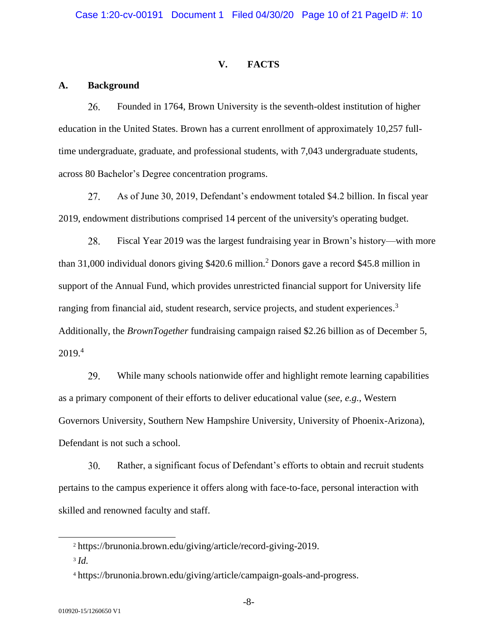### **V. FACTS**

#### **A. Background**

26. Founded in 1764, Brown University is the seventh-oldest institution of higher education in the United States. Brown has a current enrollment of approximately 10,257 fulltime undergraduate, graduate, and professional students, with 7,043 undergraduate students, across 80 Bachelor's Degree concentration programs.

27. As of June 30, 2019, Defendant's endowment totaled \$4.2 billion. In fiscal year 2019, endowment distributions comprised 14 percent of the university's operating budget.

28. Fiscal Year 2019 was the largest fundraising year in Brown's history—with more than 31,000 individual donors giving \$420.6 million.<sup>2</sup> Donors gave a record \$45.8 million in support of the Annual Fund, which provides unrestricted financial support for University life ranging from financial aid, student research, service projects, and student experiences.<sup>3</sup> Additionally, the *BrownTogether* fundraising campaign raised \$2.26 billion as of December 5, 2019.<sup>4</sup>

29. While many schools nationwide offer and highlight remote learning capabilities as a primary component of their efforts to deliver educational value (*see, e.g.*, Western Governors University, Southern New Hampshire University, University of Phoenix-Arizona), Defendant is not such a school.

Rather, a significant focus of Defendant's efforts to obtain and recruit students 30. pertains to the campus experience it offers along with face-to-face, personal interaction with skilled and renowned faculty and staff.

<sup>2</sup> https://brunonia.brown.edu/giving/article/record-giving-2019.

<sup>3</sup> *Id.*

<sup>4</sup> https://brunonia.brown.edu/giving/article/campaign-goals-and-progress.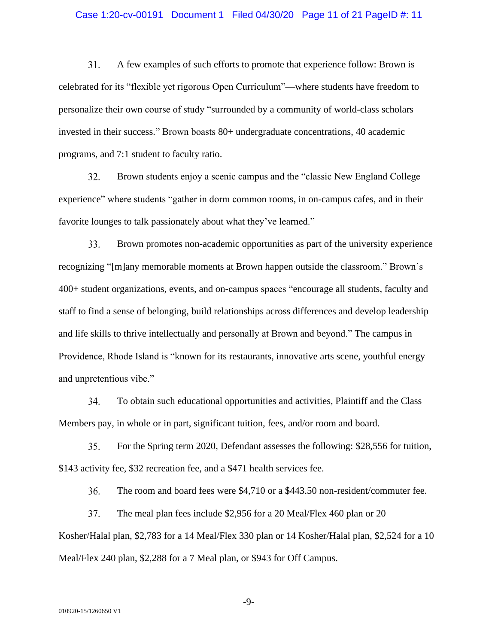#### Case 1:20-cv-00191 Document 1 Filed 04/30/20 Page 11 of 21 PageID #: 11

 $31.$ A few examples of such efforts to promote that experience follow: Brown is celebrated for its "flexible yet rigorous Open Curriculum"—where students have freedom to personalize their own course of study "surrounded by a community of world-class scholars invested in their success." Brown boasts 80+ undergraduate concentrations, 40 academic programs, and 7:1 student to faculty ratio.

32. Brown students enjoy a scenic campus and the "classic New England College experience" where students "gather in dorm common rooms, in on-campus cafes, and in their favorite lounges to talk passionately about what they've learned."

33. Brown promotes non-academic opportunities as part of the university experience recognizing "[m]any memorable moments at Brown happen outside the classroom." Brown's 400+ student organizations, events, and on-campus spaces "encourage all students, faculty and staff to find a sense of belonging, build relationships across differences and develop leadership and life skills to thrive intellectually and personally at Brown and beyond." The campus in Providence, Rhode Island is "known for its restaurants, innovative arts scene, youthful energy and unpretentious vibe."

34. To obtain such educational opportunities and activities, Plaintiff and the Class Members pay, in whole or in part, significant tuition, fees, and/or room and board.

35. For the Spring term 2020, Defendant assesses the following: \$28,556 for tuition, \$143 activity fee, \$32 recreation fee, and a \$471 health services fee.

36. The room and board fees were \$4,710 or a \$443.50 non-resident/commuter fee.

37. The meal plan fees include \$2,956 for a 20 Meal/Flex 460 plan or 20 Kosher/Halal plan, \$2,783 for a 14 Meal/Flex 330 plan or 14 Kosher/Halal plan, \$2,524 for a 10 Meal/Flex 240 plan, \$2,288 for a 7 Meal plan, or \$943 for Off Campus.

-9-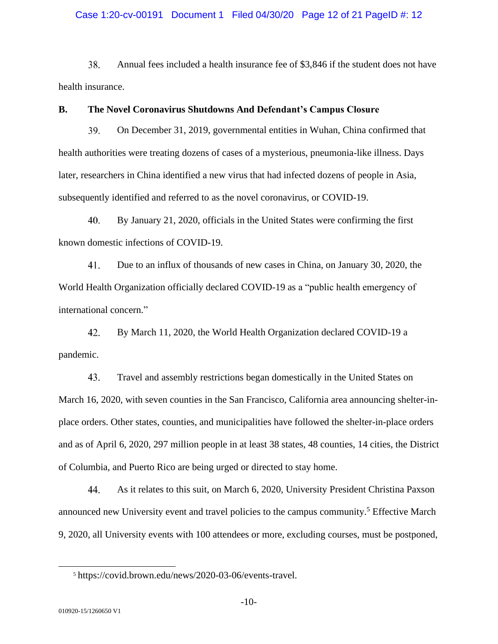#### Case 1:20-cv-00191 Document 1 Filed 04/30/20 Page 12 of 21 PageID #: 12

38. Annual fees included a health insurance fee of \$3,846 if the student does not have health insurance.

### **B. The Novel Coronavirus Shutdowns And Defendant's Campus Closure**

39. On December 31, 2019, governmental entities in Wuhan, China confirmed that health authorities were treating dozens of cases of a mysterious, pneumonia-like illness. Days later, researchers in China identified a new virus that had infected dozens of people in Asia, subsequently identified and referred to as the novel coronavirus, or COVID-19.

40. By January 21, 2020, officials in the United States were confirming the first known domestic infections of COVID-19.

41. Due to an influx of thousands of new cases in China, on January 30, 2020, the World Health Organization officially declared COVID-19 as a "public health emergency of international concern."

42. By March 11, 2020, the World Health Organization declared COVID-19 a pandemic.

43. Travel and assembly restrictions began domestically in the United States on March 16, 2020, with seven counties in the San Francisco, California area announcing shelter-inplace orders. Other states, counties, and municipalities have followed the shelter-in-place orders and as of April 6, 2020, 297 million people in at least 38 states, 48 counties, 14 cities, the District of Columbia, and Puerto Rico are being urged or directed to stay home.

44. As it relates to this suit, on March 6, 2020, University President Christina Paxson announced new University event and travel policies to the campus community.<sup>5</sup> Effective March 9, 2020, all University events with 100 attendees or more, excluding courses, must be postponed,

<sup>5</sup> https://covid.brown.edu/news/2020-03-06/events-travel.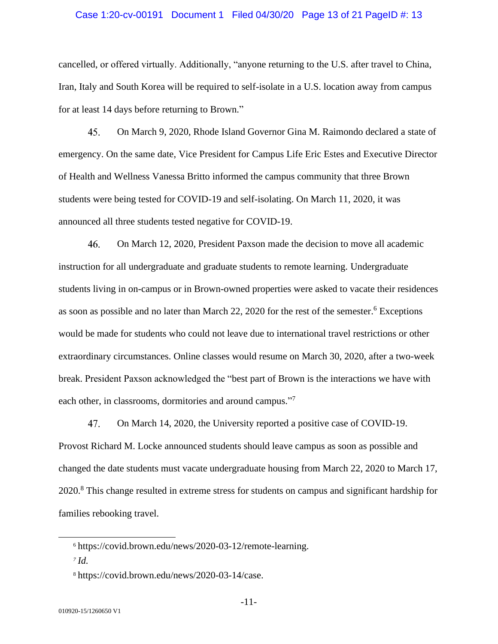#### Case 1:20-cv-00191 Document 1 Filed 04/30/20 Page 13 of 21 PageID #: 13

cancelled, or offered virtually. Additionally, "anyone returning to the U.S. after travel to China, Iran, Italy and South Korea will be required to self-isolate in a U.S. location away from campus for at least 14 days before returning to Brown."

45. On March 9, 2020, Rhode Island Governor Gina M. Raimondo declared a state of emergency. On the same date, Vice President for Campus Life Eric Estes and Executive Director of Health and Wellness Vanessa Britto informed the campus community that three Brown students were being tested for COVID-19 and self-isolating. On March 11, 2020, it was announced all three students tested negative for COVID-19.

46. On March 12, 2020, President Paxson made the decision to move all academic instruction for all undergraduate and graduate students to remote learning. Undergraduate students living in on-campus or in Brown-owned properties were asked to vacate their residences as soon as possible and no later than March 22, 2020 for the rest of the semester.<sup>6</sup> Exceptions would be made for students who could not leave due to international travel restrictions or other extraordinary circumstances. Online classes would resume on March 30, 2020, after a two-week break. President Paxson acknowledged the "best part of Brown is the interactions we have with each other, in classrooms, dormitories and around campus."7

47. On March 14, 2020, the University reported a positive case of COVID-19. Provost Richard M. Locke announced students should leave campus as soon as possible and changed the date students must vacate undergraduate housing from March 22, 2020 to March 17, 2020.<sup>8</sup> This change resulted in extreme stress for students on campus and significant hardship for families rebooking travel.

<sup>6</sup> https://covid.brown.edu/news/2020-03-12/remote-learning.

*<sup>7</sup> Id.* 

<sup>8</sup> https://covid.brown.edu/news/2020-03-14/case.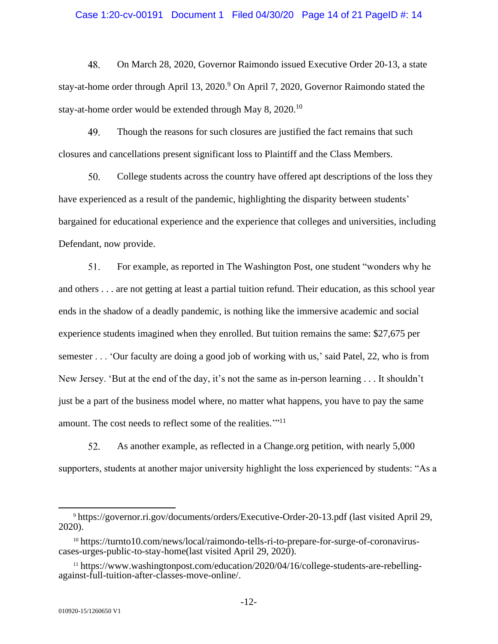#### Case 1:20-cv-00191 Document 1 Filed 04/30/20 Page 14 of 21 PageID #: 14

48. On March 28, 2020, Governor Raimondo issued Executive Order 20-13, a state stay-at-home order through April 13, 2020.<sup>9</sup> On April 7, 2020, Governor Raimondo stated the stay-at-home order would be extended through May 8, 2020.<sup>10</sup>

49. Though the reasons for such closures are justified the fact remains that such closures and cancellations present significant loss to Plaintiff and the Class Members.

50. College students across the country have offered apt descriptions of the loss they have experienced as a result of the pandemic, highlighting the disparity between students' bargained for educational experience and the experience that colleges and universities, including Defendant, now provide.

51. For example, as reported in The Washington Post, one student "wonders why he and others . . . are not getting at least a partial tuition refund. Their education, as this school year ends in the shadow of a deadly pandemic, is nothing like the immersive academic and social experience students imagined when they enrolled. But tuition remains the same: \$27,675 per semester . . . 'Our faculty are doing a good job of working with us,' said Patel, 22, who is from New Jersey. 'But at the end of the day, it's not the same as in-person learning . . . It shouldn't just be a part of the business model where, no matter what happens, you have to pay the same amount. The cost needs to reflect some of the realities."<sup>11</sup>

52. As another example, as reflected in a Change.org petition, with nearly 5,000 supporters, students at another major university highlight the loss experienced by students: "As a

<sup>9</sup> https://governor.ri.gov/documents/orders/Executive-Order-20-13.pdf (last visited April 29, 2020).

<sup>10</sup> https://turnto10.com/news/local/raimondo-tells-ri-to-prepare-for-surge-of-coronaviruscases-urges-public-to-stay-home(last visited April 29, 2020).

<sup>11</sup> https://www.washingtonpost.com/education/2020/04/16/college-students-are-rebellingagainst-full-tuition-after-classes-move-online/.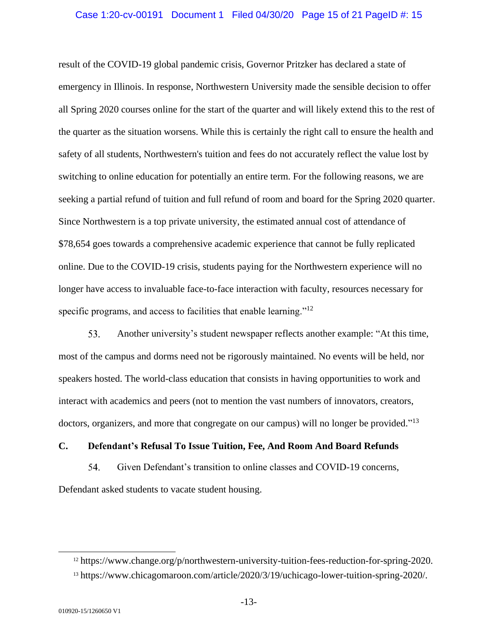#### Case 1:20-cv-00191 Document 1 Filed 04/30/20 Page 15 of 21 PageID #: 15

result of the COVID-19 global pandemic crisis, Governor Pritzker has declared a state of emergency in Illinois. In response, Northwestern University made the sensible decision to offer all Spring 2020 courses online for the start of the quarter and will likely extend this to the rest of the quarter as the situation worsens. While this is certainly the right call to ensure the health and safety of all students, Northwestern's tuition and fees do not accurately reflect the value lost by switching to online education for potentially an entire term. For the following reasons, we are seeking a partial refund of tuition and full refund of room and board for the Spring 2020 quarter. Since Northwestern is a top private university, the estimated annual cost of attendance of \$78,654 goes towards a comprehensive academic experience that cannot be fully replicated online. Due to the COVID-19 crisis, students paying for the Northwestern experience will no longer have access to invaluable face-to-face interaction with faculty, resources necessary for specific programs, and access to facilities that enable learning."<sup>12</sup>

53. Another university's student newspaper reflects another example: "At this time, most of the campus and dorms need not be rigorously maintained. No events will be held, nor speakers hosted. The world-class education that consists in having opportunities to work and interact with academics and peers (not to mention the vast numbers of innovators, creators, doctors, organizers, and more that congregate on our campus) will no longer be provided."<sup>13</sup>

## **C. Defendant's Refusal To Issue Tuition, Fee, And Room And Board Refunds**

54. Given Defendant's transition to online classes and COVID-19 concerns, Defendant asked students to vacate student housing.

<sup>12</sup> https://www.change.org/p/northwestern-university-tuition-fees-reduction-for-spring-2020.

<sup>13</sup> https://www.chicagomaroon.com/article/2020/3/19/uchicago-lower-tuition-spring-2020/.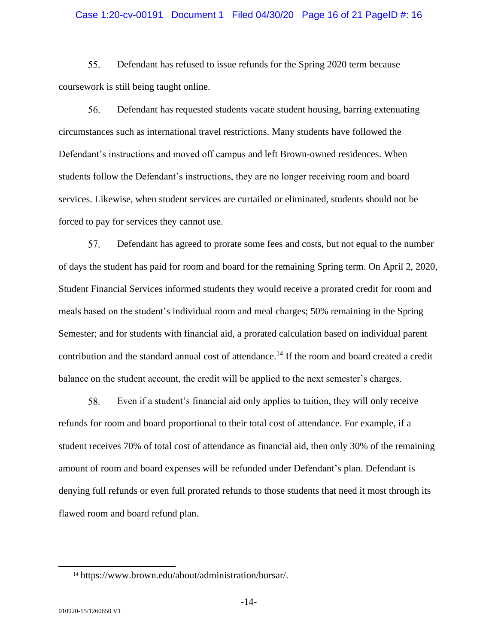#### Case 1:20-cv-00191 Document 1 Filed 04/30/20 Page 16 of 21 PageID #: 16

55. Defendant has refused to issue refunds for the Spring 2020 term because coursework is still being taught online.

56. Defendant has requested students vacate student housing, barring extenuating circumstances such as international travel restrictions. Many students have followed the Defendant's instructions and moved off campus and left Brown-owned residences. When students follow the Defendant's instructions, they are no longer receiving room and board services. Likewise, when student services are curtailed or eliminated, students should not be forced to pay for services they cannot use.

57. Defendant has agreed to prorate some fees and costs, but not equal to the number of days the student has paid for room and board for the remaining Spring term. On April 2, 2020, Student Financial Services informed students they would receive a prorated credit for room and meals based on the student's individual room and meal charges; 50% remaining in the Spring Semester; and for students with financial aid, a prorated calculation based on individual parent contribution and the standard annual cost of attendance.<sup>14</sup> If the room and board created a credit balance on the student account, the credit will be applied to the next semester's charges.

58. Even if a student's financial aid only applies to tuition, they will only receive refunds for room and board proportional to their total cost of attendance. For example, if a student receives 70% of total cost of attendance as financial aid, then only 30% of the remaining amount of room and board expenses will be refunded under Defendant's plan. Defendant is denying full refunds or even full prorated refunds to those students that need it most through its flawed room and board refund plan.

<sup>14</sup> https://www.brown.edu/about/administration/bursar/.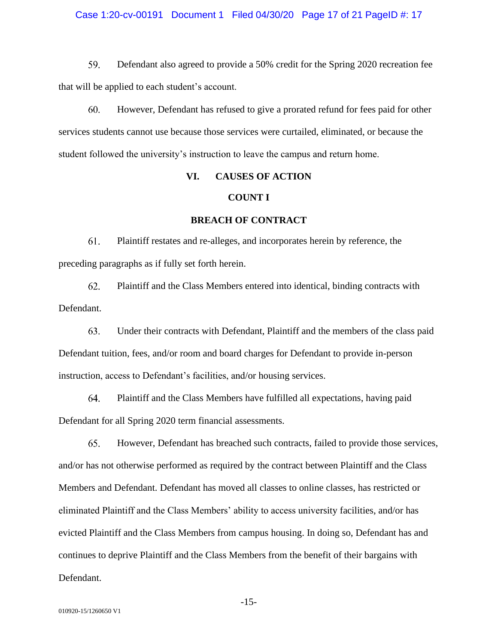#### Case 1:20-cv-00191 Document 1 Filed 04/30/20 Page 17 of 21 PageID #: 17

59. Defendant also agreed to provide a 50% credit for the Spring 2020 recreation fee that will be applied to each student's account.

60. However, Defendant has refused to give a prorated refund for fees paid for other services students cannot use because those services were curtailed, eliminated, or because the student followed the university's instruction to leave the campus and return home.

### **VI. CAUSES OF ACTION**

#### **COUNT I**

### **BREACH OF CONTRACT**

61. Plaintiff restates and re-alleges, and incorporates herein by reference, the preceding paragraphs as if fully set forth herein.

62. Plaintiff and the Class Members entered into identical, binding contracts with Defendant.

63. Under their contracts with Defendant, Plaintiff and the members of the class paid Defendant tuition, fees, and/or room and board charges for Defendant to provide in-person instruction, access to Defendant's facilities, and/or housing services.

64. Plaintiff and the Class Members have fulfilled all expectations, having paid Defendant for all Spring 2020 term financial assessments.

65. However, Defendant has breached such contracts, failed to provide those services, and/or has not otherwise performed as required by the contract between Plaintiff and the Class Members and Defendant. Defendant has moved all classes to online classes, has restricted or eliminated Plaintiff and the Class Members' ability to access university facilities, and/or has evicted Plaintiff and the Class Members from campus housing. In doing so, Defendant has and continues to deprive Plaintiff and the Class Members from the benefit of their bargains with Defendant.

-15-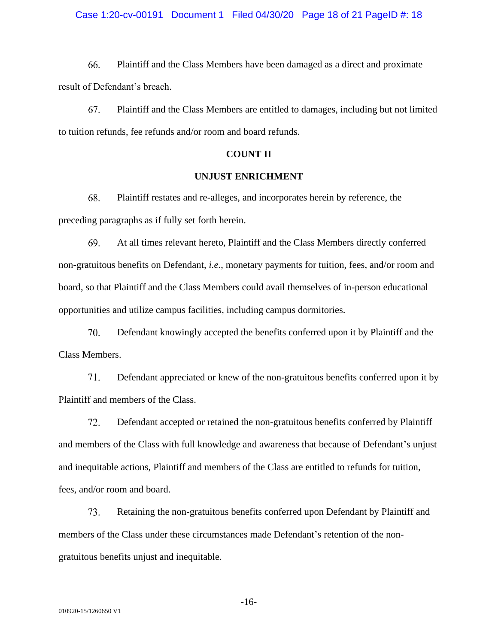#### Case 1:20-cv-00191 Document 1 Filed 04/30/20 Page 18 of 21 PageID #: 18

66. Plaintiff and the Class Members have been damaged as a direct and proximate result of Defendant's breach.

67. Plaintiff and the Class Members are entitled to damages, including but not limited to tuition refunds, fee refunds and/or room and board refunds.

#### **COUNT II**

## **UNJUST ENRICHMENT**

68. Plaintiff restates and re-alleges, and incorporates herein by reference, the preceding paragraphs as if fully set forth herein.

69. At all times relevant hereto, Plaintiff and the Class Members directly conferred non-gratuitous benefits on Defendant, *i.e.*, monetary payments for tuition, fees, and/or room and board, so that Plaintiff and the Class Members could avail themselves of in-person educational opportunities and utilize campus facilities, including campus dormitories.

70. Defendant knowingly accepted the benefits conferred upon it by Plaintiff and the Class Members.

71. Defendant appreciated or knew of the non-gratuitous benefits conferred upon it by Plaintiff and members of the Class.

72. Defendant accepted or retained the non-gratuitous benefits conferred by Plaintiff and members of the Class with full knowledge and awareness that because of Defendant's unjust and inequitable actions, Plaintiff and members of the Class are entitled to refunds for tuition, fees, and/or room and board.

73. Retaining the non-gratuitous benefits conferred upon Defendant by Plaintiff and members of the Class under these circumstances made Defendant's retention of the nongratuitous benefits unjust and inequitable.

-16-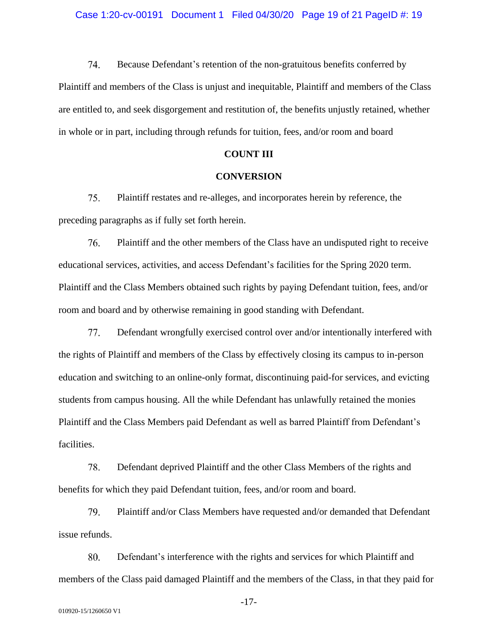74. Because Defendant's retention of the non-gratuitous benefits conferred by Plaintiff and members of the Class is unjust and inequitable, Plaintiff and members of the Class are entitled to, and seek disgorgement and restitution of, the benefits unjustly retained, whether in whole or in part, including through refunds for tuition, fees, and/or room and board

#### **COUNT III**

#### **CONVERSION**

75. Plaintiff restates and re-alleges, and incorporates herein by reference, the preceding paragraphs as if fully set forth herein.

76. Plaintiff and the other members of the Class have an undisputed right to receive educational services, activities, and access Defendant's facilities for the Spring 2020 term. Plaintiff and the Class Members obtained such rights by paying Defendant tuition, fees, and/or room and board and by otherwise remaining in good standing with Defendant.

77. Defendant wrongfully exercised control over and/or intentionally interfered with the rights of Plaintiff and members of the Class by effectively closing its campus to in-person education and switching to an online-only format, discontinuing paid-for services, and evicting students from campus housing. All the while Defendant has unlawfully retained the monies Plaintiff and the Class Members paid Defendant as well as barred Plaintiff from Defendant's facilities.

78. Defendant deprived Plaintiff and the other Class Members of the rights and benefits for which they paid Defendant tuition, fees, and/or room and board.

79. Plaintiff and/or Class Members have requested and/or demanded that Defendant issue refunds.

80. Defendant's interference with the rights and services for which Plaintiff and members of the Class paid damaged Plaintiff and the members of the Class, in that they paid for

-17-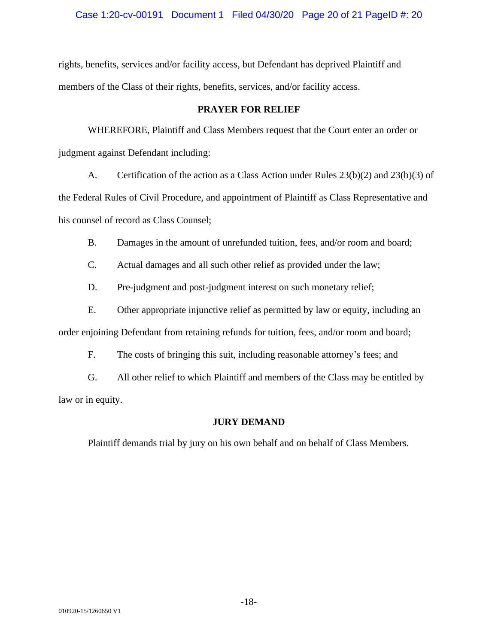Case 1:20-cv-00191 Document 1 Filed 04/30/20 Page 20 of 21 PageID #: 20

rights, benefits, services and/or facility access, but Defendant has deprived Plaintiff and members of the Class of their rights, benefits, services, and/or facility access.

## **PRAYER FOR RELIEF**

WHEREFORE, Plaintiff and Class Members request that the Court enter an order or judgment against Defendant including:

A. Certification of the action as a Class Action under Rules 23(b)(2) and 23(b)(3) of the Federal Rules of Civil Procedure, and appointment of Plaintiff as Class Representative and his counsel of record as Class Counsel;

B. Damages in the amount of unrefunded tuition, fees, and/or room and board;

C. Actual damages and all such other relief as provided under the law;

D. Pre-judgment and post-judgment interest on such monetary relief;

E. Other appropriate injunctive relief as permitted by law or equity, including an order enjoining Defendant from retaining refunds for tuition, fees, and/or room and board;

F. The costs of bringing this suit, including reasonable attorney's fees; and

G. All other relief to which Plaintiff and members of the Class may be entitled by law or in equity.

## **JURY DEMAND**

Plaintiff demands trial by jury on his own behalf and on behalf of Class Members.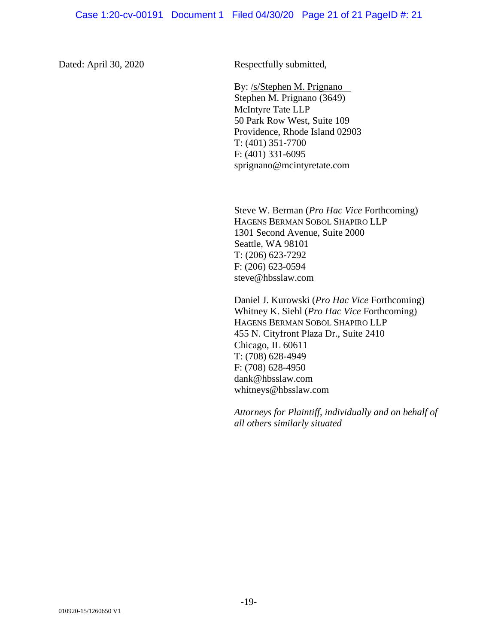Dated: April 30, 2020 Respectfully submitted,

By: /s/Stephen M. Prignano Stephen M. Prignano (3649) McIntyre Tate LLP 50 Park Row West, Suite 109 Providence, Rhode Island 02903 T: (401) 351-7700 F: (401) 331-6095 [sprignano@mcintyretate.com](mailto:smp@mtlesq.com)

Steve W. Berman (*Pro Hac Vice* Forthcoming) HAGENS BERMAN SOBOL SHAPIRO LLP 1301 Second Avenue, Suite 2000 Seattle, WA 98101 T: (206) 623-7292 F: (206) 623-0594 steve@hbsslaw.com

Daniel J. Kurowski (*Pro Hac Vice* Forthcoming) Whitney K. Siehl (*Pro Hac Vice* Forthcoming) HAGENS BERMAN SOBOL SHAPIRO LLP 455 N. Cityfront Plaza Dr., Suite 2410 Chicago, IL 60611 T: (708) 628-4949 F: (708) 628-4950 dank@hbsslaw.com whitneys@hbsslaw.com

*Attorneys for Plaintiff, individually and on behalf of all others similarly situated*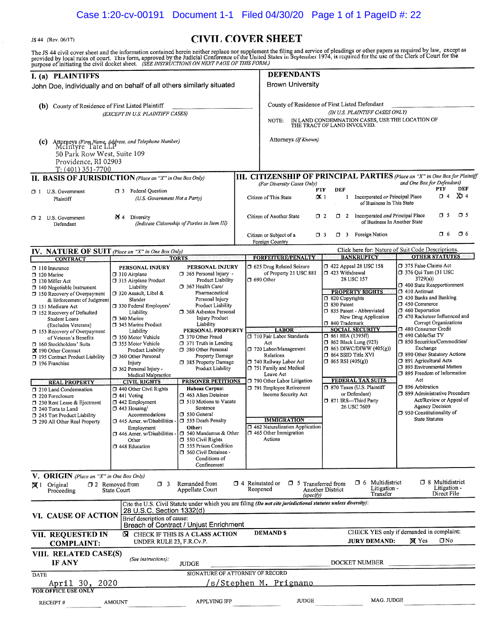JS 44 (Rev. 06/17)

# **CIVIL COVER SHEET**

The JS 44 civil cover sheet and the information contained herein neither replace nor supplement the filing and service of pleadings or other papers as required by law, except as<br>provided by local rules of court. This form,

| I. (a) PLAINTIFFS                                                                                                                                                                                                                                                                                                                                                                                                                                                                                                                                                                                                                                           |                                                                                                                                                                                                                                                                                                                                                                                                                                                                                                                                                                                                                                                 |                                                                                                                                                                                                                                                                                                                                                                                                                                                                                                                                                                                                                                                                                                           |                        | <b>DEFENDANTS</b>                                                                                                                                                                                                                                                                                                                                                                                                            |                             |                                                                                                                                                                                        |                                                                                                                                                                                                                                                                               |                                                                                                                                                                                                                                                                                                                                                                                                                                                                                                                                                                                  |                                                                     |                                                   |
|-------------------------------------------------------------------------------------------------------------------------------------------------------------------------------------------------------------------------------------------------------------------------------------------------------------------------------------------------------------------------------------------------------------------------------------------------------------------------------------------------------------------------------------------------------------------------------------------------------------------------------------------------------------|-------------------------------------------------------------------------------------------------------------------------------------------------------------------------------------------------------------------------------------------------------------------------------------------------------------------------------------------------------------------------------------------------------------------------------------------------------------------------------------------------------------------------------------------------------------------------------------------------------------------------------------------------|-----------------------------------------------------------------------------------------------------------------------------------------------------------------------------------------------------------------------------------------------------------------------------------------------------------------------------------------------------------------------------------------------------------------------------------------------------------------------------------------------------------------------------------------------------------------------------------------------------------------------------------------------------------------------------------------------------------|------------------------|------------------------------------------------------------------------------------------------------------------------------------------------------------------------------------------------------------------------------------------------------------------------------------------------------------------------------------------------------------------------------------------------------------------------------|-----------------------------|----------------------------------------------------------------------------------------------------------------------------------------------------------------------------------------|-------------------------------------------------------------------------------------------------------------------------------------------------------------------------------------------------------------------------------------------------------------------------------|----------------------------------------------------------------------------------------------------------------------------------------------------------------------------------------------------------------------------------------------------------------------------------------------------------------------------------------------------------------------------------------------------------------------------------------------------------------------------------------------------------------------------------------------------------------------------------|---------------------------------------------------------------------|---------------------------------------------------|
| John Doe, individually and on behalf of all others similarly situated                                                                                                                                                                                                                                                                                                                                                                                                                                                                                                                                                                                       |                                                                                                                                                                                                                                                                                                                                                                                                                                                                                                                                                                                                                                                 |                                                                                                                                                                                                                                                                                                                                                                                                                                                                                                                                                                                                                                                                                                           |                        | <b>Brown University</b>                                                                                                                                                                                                                                                                                                                                                                                                      |                             |                                                                                                                                                                                        |                                                                                                                                                                                                                                                                               |                                                                                                                                                                                                                                                                                                                                                                                                                                                                                                                                                                                  |                                                                     |                                                   |
| (b) County of Residence of First Listed Plaintiff                                                                                                                                                                                                                                                                                                                                                                                                                                                                                                                                                                                                           | (EXCEPT IN U.S. PLAINTIFF CASES)                                                                                                                                                                                                                                                                                                                                                                                                                                                                                                                                                                                                                |                                                                                                                                                                                                                                                                                                                                                                                                                                                                                                                                                                                                                                                                                                           |                        | County of Residence of First Listed Defendant<br>NOTE:                                                                                                                                                                                                                                                                                                                                                                       | THE TRACT OF LAND INVOLVED. |                                                                                                                                                                                        | (IN U.S. PLAINTIFF CASES ONLY)<br>IN LAND CONDEMNATION CASES, USE THE LOCATION OF                                                                                                                                                                                             |                                                                                                                                                                                                                                                                                                                                                                                                                                                                                                                                                                                  |                                                                     |                                                   |
| (C)<br>50 Park Row West, Suite 109<br>Providence, RI 02903<br>$T: (401)$ 351-7700                                                                                                                                                                                                                                                                                                                                                                                                                                                                                                                                                                           | Attorneys (Firm Name, Address, and Telephone Number)<br>McIntyre Tate LLP                                                                                                                                                                                                                                                                                                                                                                                                                                                                                                                                                                       |                                                                                                                                                                                                                                                                                                                                                                                                                                                                                                                                                                                                                                                                                                           |                        | Attorneys (If Known)                                                                                                                                                                                                                                                                                                                                                                                                         |                             |                                                                                                                                                                                        |                                                                                                                                                                                                                                                                               |                                                                                                                                                                                                                                                                                                                                                                                                                                                                                                                                                                                  |                                                                     |                                                   |
| II. BASIS OF JURISDICTION (Place an "X" in One Box Only)                                                                                                                                                                                                                                                                                                                                                                                                                                                                                                                                                                                                    |                                                                                                                                                                                                                                                                                                                                                                                                                                                                                                                                                                                                                                                 |                                                                                                                                                                                                                                                                                                                                                                                                                                                                                                                                                                                                                                                                                                           |                        | III. CITIZENSHIP OF PRINCIPAL PARTIES (Place an "X" in One Box for Plaintiff                                                                                                                                                                                                                                                                                                                                                 |                             |                                                                                                                                                                                        |                                                                                                                                                                                                                                                                               |                                                                                                                                                                                                                                                                                                                                                                                                                                                                                                                                                                                  |                                                                     |                                                   |
| $\Box$ 1 U.S. Government<br>Plaintiff                                                                                                                                                                                                                                                                                                                                                                                                                                                                                                                                                                                                                       | □ 3 Federal Question<br>(U.S. Government Not a Party)                                                                                                                                                                                                                                                                                                                                                                                                                                                                                                                                                                                           |                                                                                                                                                                                                                                                                                                                                                                                                                                                                                                                                                                                                                                                                                                           |                        | (For Diversity Cases Only)<br>Citizen of This State                                                                                                                                                                                                                                                                                                                                                                          | <b>PTF</b><br>$\alpha$ 1    | DEF                                                                                                                                                                                    | 1 Incorporated or Principal Place<br>of Business In This State                                                                                                                                                                                                                | and One Box for Defendant)                                                                                                                                                                                                                                                                                                                                                                                                                                                                                                                                                       | PTF<br>$\Box$ 4                                                     | DEF<br>$Xb$ 4                                     |
| 12 U.S. Government<br>Defendant                                                                                                                                                                                                                                                                                                                                                                                                                                                                                                                                                                                                                             | $\mathbf{\mathbb{Z}}$ 4 Diversity                                                                                                                                                                                                                                                                                                                                                                                                                                                                                                                                                                                                               | (Indicate Citizenship of Parties in Item III)                                                                                                                                                                                                                                                                                                                                                                                                                                                                                                                                                                                                                                                             |                        | Citizen of Another State                                                                                                                                                                                                                                                                                                                                                                                                     | O 2                         |                                                                                                                                                                                        | $\Box$ 2 Incorporated and Principal Place<br>of Business In Another State                                                                                                                                                                                                     |                                                                                                                                                                                                                                                                                                                                                                                                                                                                                                                                                                                  | O 5                                                                 | $\sigma$ s                                        |
|                                                                                                                                                                                                                                                                                                                                                                                                                                                                                                                                                                                                                                                             |                                                                                                                                                                                                                                                                                                                                                                                                                                                                                                                                                                                                                                                 |                                                                                                                                                                                                                                                                                                                                                                                                                                                                                                                                                                                                                                                                                                           |                        | Citizen or Subject of a<br>Foreign Country                                                                                                                                                                                                                                                                                                                                                                                   | $\Box$ 3                    |                                                                                                                                                                                        | $\Box$ 3 Foreign Nation                                                                                                                                                                                                                                                       |                                                                                                                                                                                                                                                                                                                                                                                                                                                                                                                                                                                  | O 6                                                                 | $\Box$ 6                                          |
| IV. NATURE OF SUIT (Place an "X" in One Box Only)                                                                                                                                                                                                                                                                                                                                                                                                                                                                                                                                                                                                           |                                                                                                                                                                                                                                                                                                                                                                                                                                                                                                                                                                                                                                                 | <b>TORTS</b>                                                                                                                                                                                                                                                                                                                                                                                                                                                                                                                                                                                                                                                                                              |                        | <b>FORFEITURE/PENALTY</b>                                                                                                                                                                                                                                                                                                                                                                                                    |                             |                                                                                                                                                                                        | Click here for: Nature of Suit Code Descriptions.<br><b>BANKRUPTCY</b>                                                                                                                                                                                                        |                                                                                                                                                                                                                                                                                                                                                                                                                                                                                                                                                                                  | <b>OTHER STATUTES</b>                                               |                                                   |
| <b>CONTRACT</b><br>$\Box$ 110 Insurance<br>$\square$ 120 Marine<br>$\Box$ 130 Miller Act<br>$\Box$ 140 Negotiable Instrument<br>$\Box$ 150 Recovery of Overpayment<br>& Enforcement of Judgment<br>151 Medicare Act<br>152 Recovery of Defaulted<br>Student Loans<br>(Excludes Veterans)<br>$\Box$ 153 Recovery of Overpayment<br>of Veteran's Benefits<br>□ 160 Stockholders' Suits<br>X 190 Other Contract<br>195 Contract Product Liability<br>196 Franchise<br><b>REAL PROPERTY</b><br>1 210 Land Condemnation<br>7 220 Foreclosure<br>7 230 Rent Lease & Ejectment<br>240 Torts to Land<br>3 245 Tort Product Liability<br>290 All Other Real Property | PERSONAL INJURY<br>□ 310 Airplane<br>1315 Airplane Product<br>Liability<br>□ 320 Assault, Libel &<br>Slander<br>330 Federal Employers'<br>Liability<br>$\square$ 340 Marine<br>345 Marine Product<br>Liability<br>□ 350 Motor Vehicle<br>□ 355 Motor Vehicle<br>Product Liability<br>360 Other Personal<br>Injury<br>362 Personal Injury -<br>Medical Malpractice<br><b>CIVIL RIGHTS</b><br>7 440 Other Civil Rights<br>$\Box$ 441 Voting<br>□ 442 Employment<br>$\Box$ 443 Housing/<br>Accommodations<br>445 Amer. w/Disabilities -<br>Employment<br>$\Box$ 446 Amer. w/Disabilities - $\Box$ 540 Mandamus & Other<br>Other<br>□ 448 Education | PERSONAL INJURY<br>□ 365 Personal Injury -<br>Product Liability<br>367 Health Care/<br>Pharmaceutical<br>Personal Injury<br><b>Product Liability</b><br>368 Asbestos Personal<br><b>Injury Product</b><br>Liability<br>PERSONAL PROPERTY<br>7 370 Other Fraud<br>$\Box$ 371 Truth in Lending<br>□ 380 Other Personal<br>Property Damage<br><b>385 Property Damage</b><br>Product Liability<br><b>PRISONER PETITIONS</b><br><b>Habeas Corpus:</b><br>$\Box$ 463 Alien Detainee<br><b>J</b> 510 Motions to Vacate<br>Sentence<br>□ 530 General<br><b>C</b> 535 Death Penalty<br>Other:<br>$\square$ 550 Civil Rights<br><b>355 Prison Condition</b><br>560 Civil Detainee -<br>Conditions of<br>Confinement |                        | <b>3 625 Drug Related Seizure</b><br>of Property 21 USC 881<br>$\Box$ 690 Other<br><b>LABOR</b><br>710 Fair Labor Standards<br>Act<br>720 Labor/Management<br>Relations<br>740 Railway Labor Act<br>751 Family and Medical<br>Leave Act<br>790 Other Labor Litigation<br>791 Employee Retirement<br>Income Security Act<br><b>IMMIGRATION</b><br>7 462 Naturalization Application<br>$\Box$ 465 Other Immigration<br>Actions | $\square$ 830 Patent        | □ 423 Withdrawal<br>28 USC 157<br>$\Box$ 820 Copyrights<br>340 Trademark<br>$\Box$ 861 HIA (1395ff)<br>□ 864 SSID Title XVI<br>$\Box$ 865 RSI (405(g))<br>or Defendant)<br>26 USC 7609 | CJ 422 Appeal 28 USC 158<br><b>PROPERTY RIGHTS</b><br>335 Patent - Abbreviated<br>New Drug Application<br><b>SOCIAL SECURITY</b><br>$\Box$ 862 Black Lung (923)<br>$\Box$ 863 DIWC/DIWW (405(g))<br>FEDERAL TAX SUITS<br>□ 870 Taxes (U.S. Plaintiff<br>□ 871 IRS-Third Party | 7 375 False Claims Act<br>$\Box$ 376 Qui Tam (31 USC<br>3729(a)<br>□ 400 State Reapportionment<br>$\square$ 410 Antitrust<br>$\Box$ 430 Banks and Banking<br>D 450 Commerce<br>7 460 Deportation<br>1 470 Racketeer Influenced and<br>480 Consumer Credit<br>490 Cable/Sat TV<br>□ 850 Securities/Commodities/<br>Exchange<br>□ 890 Other Statutory Actions<br>□ 891 Agricultural Acts<br><b>J</b> 893 Environmental Matters<br>□ 895 Freedom of Information<br>Act<br>□ 896 Arbitration<br>□ 899 Administrative Procedure<br>1950 Constitutionality of<br><b>State Statutes</b> | Corrupt Organizations<br>Act/Review or Appeal of<br>Agency Decision |                                                   |
| <b>V. ORIGIN</b> (Place an "X" in One Box Only)                                                                                                                                                                                                                                                                                                                                                                                                                                                                                                                                                                                                             |                                                                                                                                                                                                                                                                                                                                                                                                                                                                                                                                                                                                                                                 |                                                                                                                                                                                                                                                                                                                                                                                                                                                                                                                                                                                                                                                                                                           |                        |                                                                                                                                                                                                                                                                                                                                                                                                                              |                             |                                                                                                                                                                                        |                                                                                                                                                                                                                                                                               |                                                                                                                                                                                                                                                                                                                                                                                                                                                                                                                                                                                  |                                                                     |                                                   |
| $X1$ Original<br>Proceeding                                                                                                                                                                                                                                                                                                                                                                                                                                                                                                                                                                                                                                 | $\square$ 2 Removed from<br>$\Box$ 3<br><b>State Court</b>                                                                                                                                                                                                                                                                                                                                                                                                                                                                                                                                                                                      | Remanded from<br>Appellate Court                                                                                                                                                                                                                                                                                                                                                                                                                                                                                                                                                                                                                                                                          | $\Box$ 4 Reinstated or | $\Box$ 5 Transferred from<br>Reopened<br>(specify)                                                                                                                                                                                                                                                                                                                                                                           | Another District            |                                                                                                                                                                                        | Multidistrict<br>O 6<br>Litigation -<br>Transfer                                                                                                                                                                                                                              |                                                                                                                                                                                                                                                                                                                                                                                                                                                                                                                                                                                  | <b>3</b> Multidistrict<br>Litigation -<br>Direct File               |                                                   |
| VI. CAUSE OF ACTION                                                                                                                                                                                                                                                                                                                                                                                                                                                                                                                                                                                                                                         | 28 U.S.C. Section 1332(d)<br>Brief description of cause:                                                                                                                                                                                                                                                                                                                                                                                                                                                                                                                                                                                        | Cite the U.S. Civil Statute under which you are filing (Do not cite jurisdictional statutes unless diversity):<br>Breach of Contract / Unjust Enrichment                                                                                                                                                                                                                                                                                                                                                                                                                                                                                                                                                  |                        |                                                                                                                                                                                                                                                                                                                                                                                                                              |                             |                                                                                                                                                                                        |                                                                                                                                                                                                                                                                               |                                                                                                                                                                                                                                                                                                                                                                                                                                                                                                                                                                                  |                                                                     |                                                   |
| VII. REQUESTED IN<br><b>COMPLAINT:</b>                                                                                                                                                                                                                                                                                                                                                                                                                                                                                                                                                                                                                      | UNDER RULE 23, F.R.Cv.P.                                                                                                                                                                                                                                                                                                                                                                                                                                                                                                                                                                                                                        | <b>EX</b> CHECK IF THIS IS A CLASS ACTION                                                                                                                                                                                                                                                                                                                                                                                                                                                                                                                                                                                                                                                                 |                        | <b>DEMAND \$</b>                                                                                                                                                                                                                                                                                                                                                                                                             |                             |                                                                                                                                                                                        | CHECK YES only if demanded in complaint:<br><b>JURY DEMAND:</b>                                                                                                                                                                                                               | <b>X</b> Yes                                                                                                                                                                                                                                                                                                                                                                                                                                                                                                                                                                     | ONo                                                                 |                                                   |
| VIII. RELATED CASE(S)<br>IF ANY                                                                                                                                                                                                                                                                                                                                                                                                                                                                                                                                                                                                                             | (See instructions):                                                                                                                                                                                                                                                                                                                                                                                                                                                                                                                                                                                                                             | <b>JUDGE</b>                                                                                                                                                                                                                                                                                                                                                                                                                                                                                                                                                                                                                                                                                              |                        |                                                                                                                                                                                                                                                                                                                                                                                                                              |                             |                                                                                                                                                                                        | DOCKET NUMBER                                                                                                                                                                                                                                                                 |                                                                                                                                                                                                                                                                                                                                                                                                                                                                                                                                                                                  |                                                                     |                                                   |
| <b>DATE</b>                                                                                                                                                                                                                                                                                                                                                                                                                                                                                                                                                                                                                                                 |                                                                                                                                                                                                                                                                                                                                                                                                                                                                                                                                                                                                                                                 | SIGNATURE OF ATTORNEY OF RECORD                                                                                                                                                                                                                                                                                                                                                                                                                                                                                                                                                                                                                                                                           |                        |                                                                                                                                                                                                                                                                                                                                                                                                                              |                             |                                                                                                                                                                                        |                                                                                                                                                                                                                                                                               |                                                                                                                                                                                                                                                                                                                                                                                                                                                                                                                                                                                  |                                                                     |                                                   |
| April 30, 2020<br>FOR OFFICE USE ONLY                                                                                                                                                                                                                                                                                                                                                                                                                                                                                                                                                                                                                       |                                                                                                                                                                                                                                                                                                                                                                                                                                                                                                                                                                                                                                                 |                                                                                                                                                                                                                                                                                                                                                                                                                                                                                                                                                                                                                                                                                                           |                        | 's/Stephen M. Prignano                                                                                                                                                                                                                                                                                                                                                                                                       |                             |                                                                                                                                                                                        |                                                                                                                                                                                                                                                                               |                                                                                                                                                                                                                                                                                                                                                                                                                                                                                                                                                                                  |                                                                     |                                                   |
| RECEIPT#                                                                                                                                                                                                                                                                                                                                                                                                                                                                                                                                                                                                                                                    | <b>AMOUNT</b>                                                                                                                                                                                                                                                                                                                                                                                                                                                                                                                                                                                                                                   | <b>APPLYING IFP</b>                                                                                                                                                                                                                                                                                                                                                                                                                                                                                                                                                                                                                                                                                       |                        | <b>JUDGE</b>                                                                                                                                                                                                                                                                                                                                                                                                                 |                             |                                                                                                                                                                                        | MAG. JUDGE                                                                                                                                                                                                                                                                    |                                                                                                                                                                                                                                                                                                                                                                                                                                                                                                                                                                                  |                                                                     | <u> 1980 - Jan Barat, Amerikaansk politiker (</u> |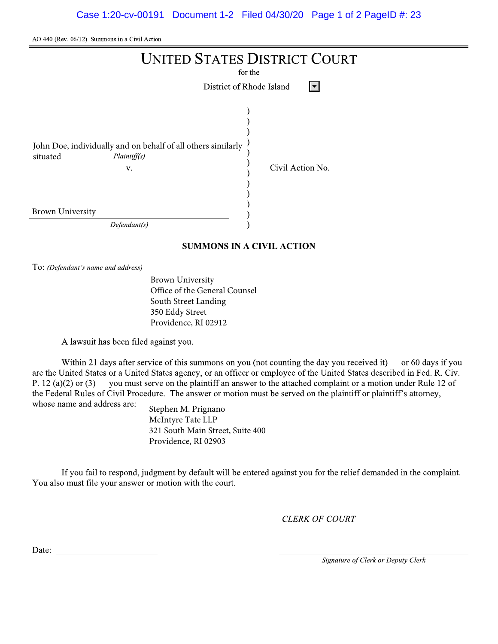$A<sup>O</sup>$  440 (Rev. 06/12) Summons in a Civil Action

|                                                                                                                                           | <b>UNITED STATES DISTRICT COURT</b><br>for the<br>District of Rhode Island<br>$\blacktriangledown$ |
|-------------------------------------------------------------------------------------------------------------------------------------------|----------------------------------------------------------------------------------------------------|
| John Doe, individually and on behalf of all others similarly<br>Plaintiff(s)<br>situated<br>V.<br><b>Brown University</b><br>Defendant(s) | Civil Action No.                                                                                   |

## SUMMONS IN A CIVIL ACTION

To: (Defendant's name and address)

Brown University Office of the General Counsel South Street Landing 350 Eddy Street Providence, RI 02912

A lawsuit has been filed against you.

Within 21 days after service of this summons on you (not counting the day you received it) — or 60 days if you are the United States or a United States agency, or an officer or employee of the United States described in Fed. R. Civ. P. 12 (a)(2) or  $(3)$  — you must serve on the plaintiff an answer to the attached complaint or a motion under Rule 12 of the Federal Rules of Civil Procedure. The answer or motion must be served on the plaintiff or plaintiff's attorney, whose name and address are:

Stephen M. Prignano McIntyre Tate LLP 321 South Main Street, Suite 400 Providence, RI 02903

If you fail to respond, judgment by default will be entered against you for the relief demanded in the complaint. You also must file your answer or motion with the court.

CLERK OF COURT

OLERK OF COURT<br>
Date:<br>
Signature of Clerk or Deputy Clerk<br>
Signature of Clerk or Deputy Clerk<br>
The Signature of Clerk or Deputy Clerk<br>
The Signature of Clerk or Deputy Clerk<br>
The Signature of Clerk or Deputy Clerk<br>
The Sig